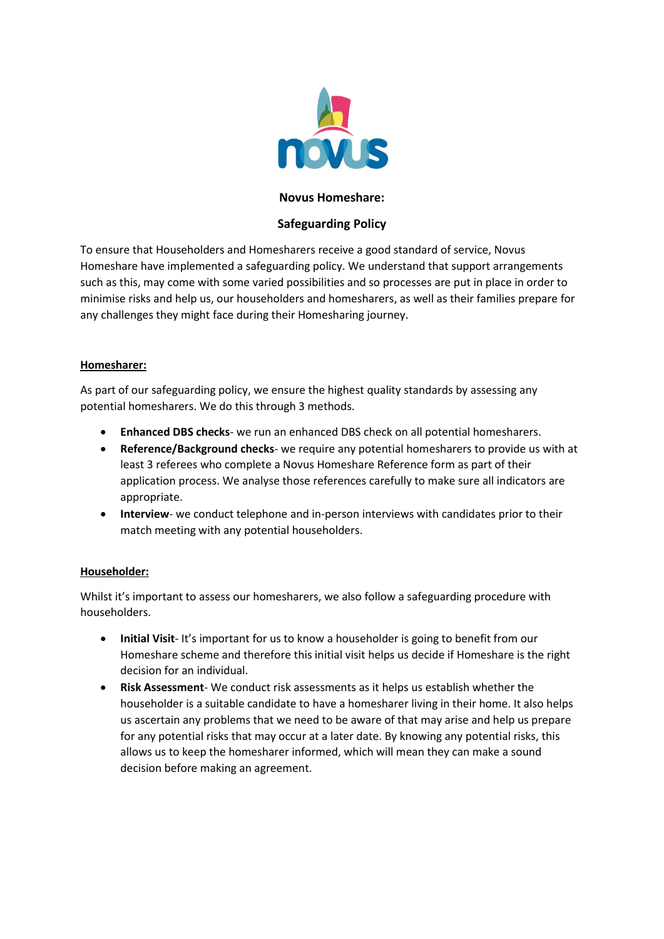

## **Novus Homeshare:**

# **Safeguarding Policy**

To ensure that Householders and Homesharers receive a good standard of service, Novus Homeshare have implemented a safeguarding policy. We understand that support arrangements such as this, may come with some varied possibilities and so processes are put in place in order to minimise risks and help us, our householders and homesharers, as well as their families prepare for any challenges they might face during their Homesharing journey.

### **Homesharer:**

As part of our safeguarding policy, we ensure the highest quality standards by assessing any potential homesharers. We do this through 3 methods.

- **Enhanced DBS checks** we run an enhanced DBS check on all potential homesharers.
- **Reference/Background checks** we require any potential homesharers to provide us with at least 3 referees who complete a Novus Homeshare Reference form as part of their application process. We analyse those references carefully to make sure all indicators are appropriate.
- **Interview** we conduct telephone and in-person interviews with candidates prior to their match meeting with any potential householders.

# **Householder:**

Whilst it's important to assess our homesharers, we also follow a safeguarding procedure with householders.

- **Initial Visit** It's important for us to know a householder is going to benefit from our Homeshare scheme and therefore this initial visit helps us decide if Homeshare is the right decision for an individual.
- **Risk Assessment** We conduct risk assessments as it helps us establish whether the householder is a suitable candidate to have a homesharer living in their home. It also helps us ascertain any problems that we need to be aware of that may arise and help us prepare for any potential risks that may occur at a later date. By knowing any potential risks, this allows us to keep the homesharer informed, which will mean they can make a sound decision before making an agreement.